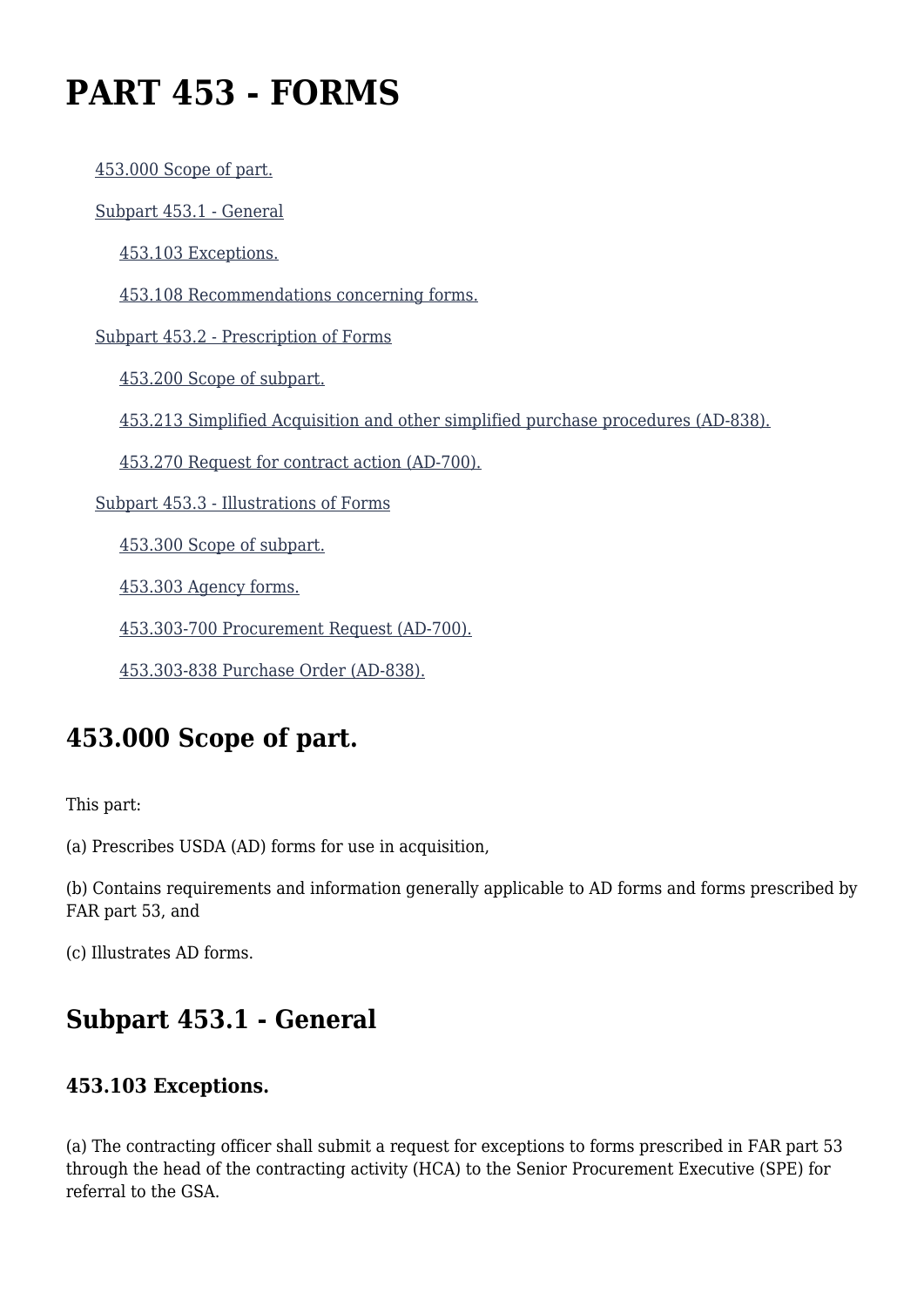# **PART 453 - FORMS**

[453.000 Scope of part.](https://origin-www.acquisition.gov/%5Brp:link:agar-part-453%5D#Section_453_000_T48_4021852011)

[Subpart 453.1 - General](https://origin-www.acquisition.gov/%5Brp:link:agar-part-453%5D#Subpart_453_1_T48_40218521)

[453.103 Exceptions.](https://origin-www.acquisition.gov/%5Brp:link:agar-part-453%5D#Section_453_103_T48_4021852111)

[453.108 Recommendations concerning forms.](https://origin-www.acquisition.gov/%5Brp:link:agar-part-453%5D#Section_453_108_T48_4021852112)

[Subpart 453.2 - Prescription of Forms](https://origin-www.acquisition.gov/%5Brp:link:agar-part-453%5D#Subpart_453_2_T48_40218522)

[453.200 Scope of subpart.](https://origin-www.acquisition.gov/%5Brp:link:agar-part-453%5D#Section_453_200_T48_4021852211)

[453.213 Simplified Acquisition and other simplified purchase procedures \(AD-838\).](https://origin-www.acquisition.gov/%5Brp:link:agar-part-453%5D#Section_453_213_T48_4021852212)

[453.270 Request for contract action \(AD-700\).](https://origin-www.acquisition.gov/%5Brp:link:agar-part-453%5D#Section_453_270_T48_4021852213)

[Subpart 453.3 - Illustrations of Forms](https://origin-www.acquisition.gov/%5Brp:link:agar-part-453%5D#Subpart_453_3_T48_40218523)

[453.300 Scope of subpart.](https://origin-www.acquisition.gov/%5Brp:link:agar-part-453%5D#Section_453_300_T48_4021852311)

[453.303 Agency forms.](https://origin-www.acquisition.gov/%5Brp:link:agar-part-453%5D#Section_453_303_T48_4021852312)

[453.303-700 Procurement Request \(AD-700\).](https://origin-www.acquisition.gov/%5Brp:link:agar-part-453%5D#Section_453_303_700_T48_4021852313)

[453.303-838 Purchase Order \(AD-838\).](https://origin-www.acquisition.gov/%5Brp:link:agar-part-453%5D#Section_453_303_838_T48_4021852314)

# **453.000 Scope of part.**

This part:

(a) Prescribes USDA (AD) forms for use in acquisition,

(b) Contains requirements and information generally applicable to AD forms and forms prescribed by FAR part 53, and

(c) Illustrates AD forms.

## **Subpart 453.1 - General**

#### **453.103 Exceptions.**

(a) The contracting officer shall submit a request for exceptions to forms prescribed in FAR part 53 through the head of the contracting activity (HCA) to the Senior Procurement Executive (SPE) for referral to the GSA.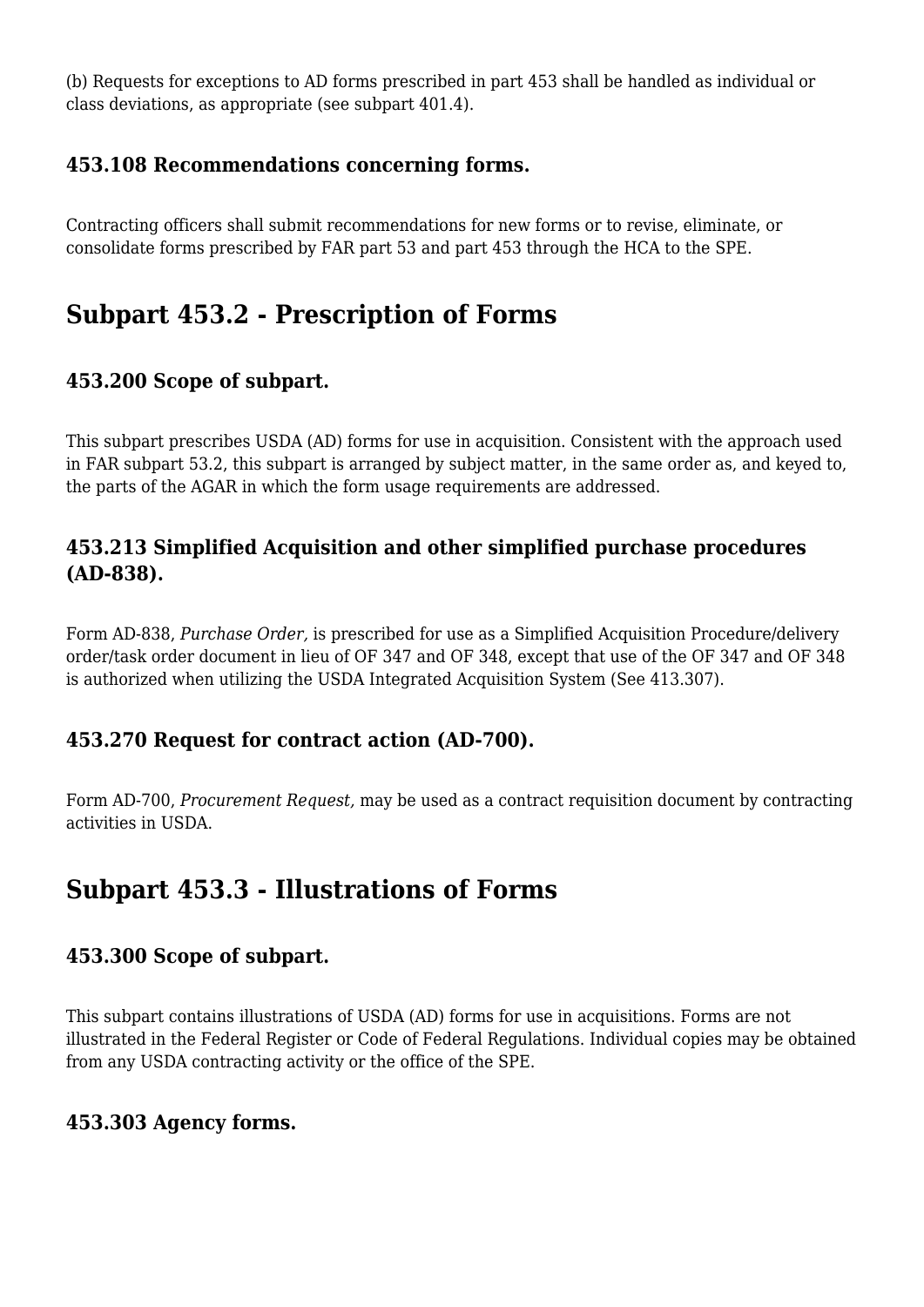(b) Requests for exceptions to AD forms prescribed in part 453 shall be handled as individual or class deviations, as appropriate (see subpart 401.4).

#### **453.108 Recommendations concerning forms.**

Contracting officers shall submit recommendations for new forms or to revise, eliminate, or consolidate forms prescribed by FAR part 53 and part 453 through the HCA to the SPE.

# **Subpart 453.2 - Prescription of Forms**

#### **453.200 Scope of subpart.**

This subpart prescribes USDA (AD) forms for use in acquisition. Consistent with the approach used in FAR subpart 53.2, this subpart is arranged by subject matter, in the same order as, and keyed to, the parts of the AGAR in which the form usage requirements are addressed.

#### **453.213 Simplified Acquisition and other simplified purchase procedures (AD-838).**

Form AD-838, *Purchase Order,* is prescribed for use as a Simplified Acquisition Procedure/delivery order/task order document in lieu of OF 347 and OF 348, except that use of the OF 347 and OF 348 is authorized when utilizing the USDA Integrated Acquisition System (See 413.307).

#### **453.270 Request for contract action (AD-700).**

Form AD-700, *Procurement Request,* may be used as a contract requisition document by contracting activities in USDA.

## **Subpart 453.3 - Illustrations of Forms**

#### **453.300 Scope of subpart.**

This subpart contains illustrations of USDA (AD) forms for use in acquisitions. Forms are not illustrated in the Federal Register or Code of Federal Regulations. Individual copies may be obtained from any USDA contracting activity or the office of the SPE.

#### **453.303 Agency forms.**